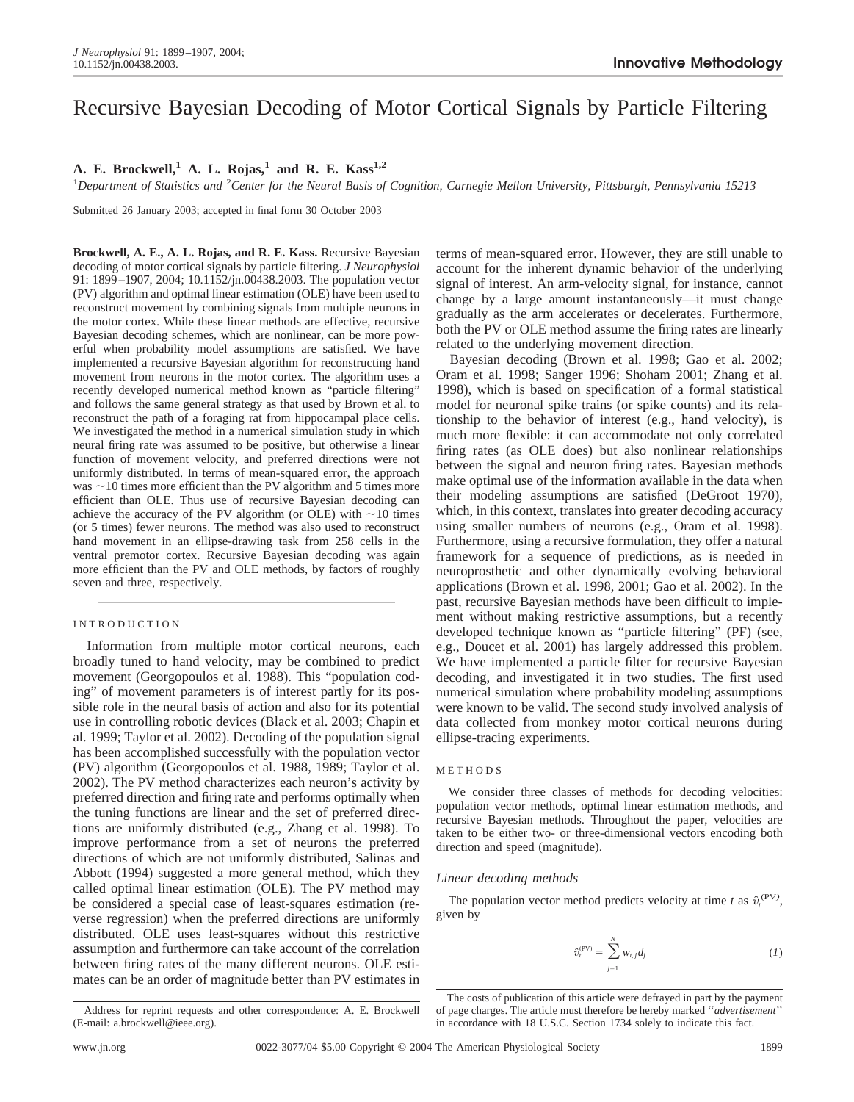# Recursive Bayesian Decoding of Motor Cortical Signals by Particle Filtering

# A. E. Brockwell,<sup>1</sup> A. L. Rojas,<sup>1</sup> and R. E. Kass<sup>1,2</sup>

<sup>1</sup>Department of Statistics and <sup>2</sup>Center for the Neural Basis of Cognition, Carnegie Mellon University, Pittsburgh, Pennsylvania 15213

Submitted 26 January 2003; accepted in final form 30 October 2003

**Brockwell, A. E., A. L. Rojas, and R. E. Kass.** Recursive Bayesian decoding of motor cortical signals by particle filtering. *J Neurophysiol* 91: 1899–1907, 2004; 10.1152/jn.00438.2003. The population vector (PV) algorithm and optimal linear estimation (OLE) have been used to reconstruct movement by combining signals from multiple neurons in the motor cortex. While these linear methods are effective, recursive Bayesian decoding schemes, which are nonlinear, can be more powerful when probability model assumptions are satisfied. We have implemented a recursive Bayesian algorithm for reconstructing hand movement from neurons in the motor cortex. The algorithm uses a recently developed numerical method known as "particle filtering" and follows the same general strategy as that used by Brown et al. to reconstruct the path of a foraging rat from hippocampal place cells. We investigated the method in a numerical simulation study in which neural firing rate was assumed to be positive, but otherwise a linear function of movement velocity, and preferred directions were not uniformly distributed. In terms of mean-squared error, the approach was  $\sim$  10 times more efficient than the PV algorithm and 5 times more efficient than OLE. Thus use of recursive Bayesian decoding can achieve the accuracy of the PV algorithm (or OLE) with  $\sim$  10 times (or 5 times) fewer neurons. The method was also used to reconstruct hand movement in an ellipse-drawing task from 258 cells in the ventral premotor cortex. Recursive Bayesian decoding was again more efficient than the PV and OLE methods, by factors of roughly seven and three, respectively.

# INTRODUCTION

Information from multiple motor cortical neurons, each broadly tuned to hand velocity, may be combined to predict movement (Georgopoulos et al. 1988). This "population coding" of movement parameters is of interest partly for its possible role in the neural basis of action and also for its potential use in controlling robotic devices (Black et al. 2003; Chapin et al. 1999; Taylor et al. 2002). Decoding of the population signal has been accomplished successfully with the population vector (PV) algorithm (Georgopoulos et al. 1988, 1989; Taylor et al. 2002). The PV method characterizes each neuron's activity by preferred direction and firing rate and performs optimally when the tuning functions are linear and the set of preferred directions are uniformly distributed (e.g., Zhang et al. 1998). To improve performance from a set of neurons the preferred directions of which are not uniformly distributed, Salinas and Abbott (1994) suggested a more general method, which they called optimal linear estimation (OLE). The PV method may be considered a special case of least-squares estimation (reverse regression) when the preferred directions are uniformly distributed. OLE uses least-squares without this restrictive assumption and furthermore can take account of the correlation between firing rates of the many different neurons. OLE estimates can be an order of magnitude better than PV estimates in terms of mean-squared error. However, they are still unable to account for the inherent dynamic behavior of the underlying signal of interest. An arm-velocity signal, for instance, cannot change by a large amount instantaneously—it must change gradually as the arm accelerates or decelerates. Furthermore, both the PV or OLE method assume the firing rates are linearly related to the underlying movement direction.

Bayesian decoding (Brown et al. 1998; Gao et al. 2002; Oram et al. 1998; Sanger 1996; Shoham 2001; Zhang et al. 1998), which is based on specification of a formal statistical model for neuronal spike trains (or spike counts) and its relationship to the behavior of interest (e.g., hand velocity), is much more flexible: it can accommodate not only correlated firing rates (as OLE does) but also nonlinear relationships between the signal and neuron firing rates. Bayesian methods make optimal use of the information available in the data when their modeling assumptions are satisfied (DeGroot 1970), which, in this context, translates into greater decoding accuracy using smaller numbers of neurons (e.g., Oram et al. 1998). Furthermore, using a recursive formulation, they offer a natural framework for a sequence of predictions, as is needed in neuroprosthetic and other dynamically evolving behavioral applications (Brown et al. 1998, 2001; Gao et al. 2002). In the past, recursive Bayesian methods have been difficult to implement without making restrictive assumptions, but a recently developed technique known as "particle filtering" (PF) (see, e.g., Doucet et al. 2001) has largely addressed this problem. We have implemented a particle filter for recursive Bayesian decoding, and investigated it in two studies. The first used numerical simulation where probability modeling assumptions were known to be valid. The second study involved analysis of data collected from monkey motor cortical neurons during ellipse-tracing experiments.

# METHODS

We consider three classes of methods for decoding velocities: population vector methods, optimal linear estimation methods, and recursive Bayesian methods. Throughout the paper, velocities are taken to be either two- or three-dimensional vectors encoding both direction and speed (magnitude).

# *Linear decoding methods*

The population vector method predicts velocity at time *t* as  $\hat{v}_t^{(PV)}$ , given by

$$
\hat{v}_t^{(PV)} = \sum_{j=1}^N w_{t,j} d_j \tag{1}
$$

Address for reprint requests and other correspondence: A. E. Brockwell (E-mail: a.brockwell@ieee.org).

The costs of publication of this article were defrayed in part by the payment of page charges. The article must therefore be hereby marked ''*advertisement*'' in accordance with 18 U.S.C. Section 1734 solely to indicate this fact.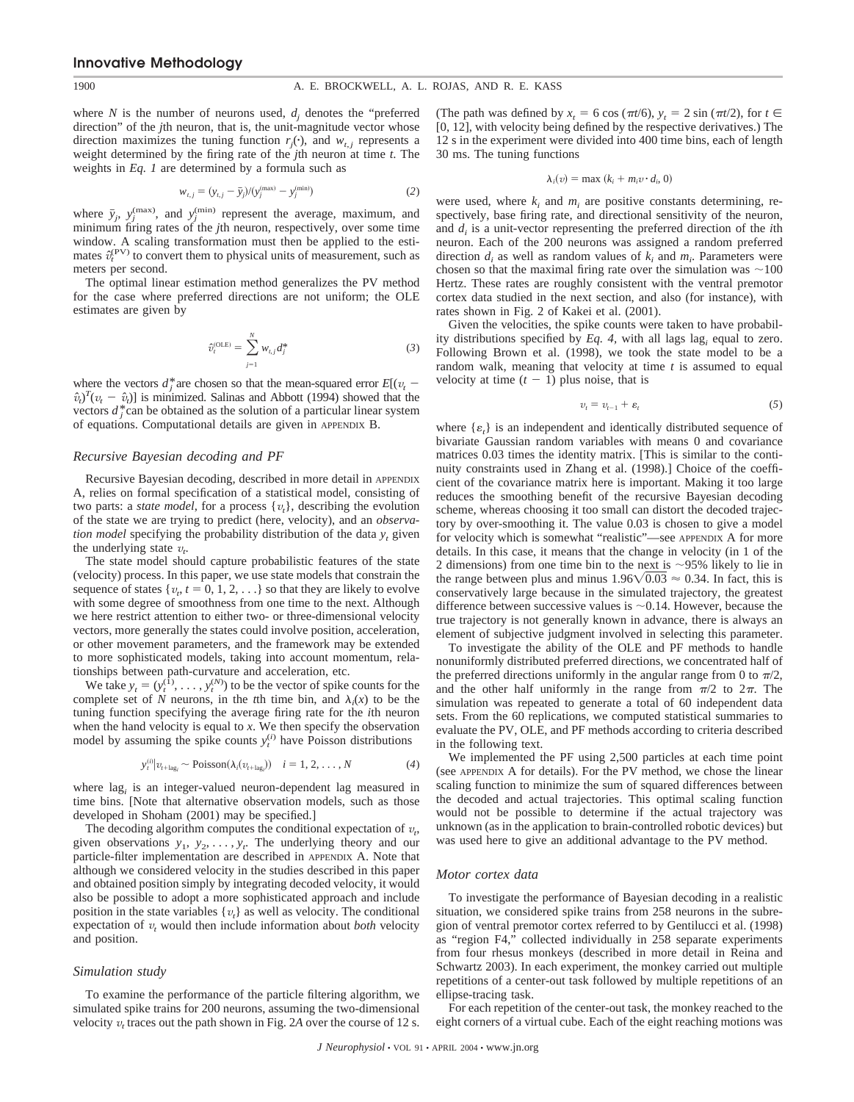where *N* is the number of neurons used,  $d_i$  denotes the "preferred direction" of the *j*th neuron, that is, the unit-magnitude vector whose direction maximizes the tuning function  $r_j(\cdot)$ , and  $w_{t,j}$  represents a weight determined by the firing rate of the *j*th neuron at time *t*. The weights in *Eq. 1* are determined by a formula such as

$$
w_{t,j} = (y_{t,j} - \bar{y}_j) / (y_j^{(\text{max})} - y_j^{(\text{min})})
$$
 (2)

where  $\bar{y}_j$ ,  $y_j^{(max)}$ , and  $y_j^{(min)}$  represent the average, maximum, and minimum firing rates of the *j*th neuron, respectively, over some time window. A scaling transformation must then be applied to the estimates  $\hat{v}_t^{(PV)}$  to convert them to physical units of measurement, such as meters per second.

The optimal linear estimation method generalizes the PV method for the case where preferred directions are not uniform; the OLE estimates are given by

$$
\hat{v}_t^{(\text{OLE})} = \sum_{j=1}^{N} w_{t,j} d_j^* \tag{3}
$$

where the vectors  $d_i^*$  are chosen so that the mean-squared error  $E[(v_t \hat{v}_t$ <sup>T</sup> $(v_t - \hat{v}_t)$ ] is minimized. Salinas and Abbott (1994) showed that the vectors  $d^*$  can be obtained as the solution of a particular linear system of equations. Computational details are given in APPENDIX B.

#### *Recursive Bayesian decoding and PF*

Recursive Bayesian decoding, described in more detail in APPENDIX A, relies on formal specification of a statistical model, consisting of two parts: a *state model*, for a process {*v<sup>t</sup>* }, describing the evolution of the state we are trying to predict (here, velocity), and an *observation model* specifying the probability distribution of the data  $y_t$  given the underlying state  $v_t$ .

The state model should capture probabilistic features of the state (velocity) process. In this paper, we use state models that constrain the sequence of states  $\{v_t, t = 0, 1, 2, \ldots\}$  so that they are likely to evolve with some degree of smoothness from one time to the next. Although we here restrict attention to either two- or three-dimensional velocity vectors, more generally the states could involve position, acceleration, or other movement parameters, and the framework may be extended to more sophisticated models, taking into account momentum, relationships between path-curvature and acceleration, etc.

We take  $y_t = (y_t^{(1)}, \ldots, y_t^{(N)})$  to be the vector of spike counts for the complete set of *N* neurons, in the *t*th time bin, and  $\lambda_i(x)$  to be the tuning function specifying the average firing rate for the *i*th neuron when the hand velocity is equal to *x*. We then specify the observation model by assuming the spike counts  $y_t^{(i)}$  have Poisson distributions

$$
y_t^{(i)}|v_{t+\text{lag}_i} \sim \text{Poisson}(\lambda_i(v_{t+\text{lag}_i})) \quad i = 1, 2, \dots, N \tag{4}
$$

where lag*<sup>i</sup>* is an integer-valued neuron-dependent lag measured in time bins. [Note that alternative observation models, such as those developed in Shoham (2001) may be specified.]

The decoding algorithm computes the conditional expectation of  $v_t$ , given observations  $y_1, y_2, \ldots, y_t$ . The underlying theory and our particle-filter implementation are described in APPENDIX A. Note that although we considered velocity in the studies described in this paper and obtained position simply by integrating decoded velocity, it would also be possible to adopt a more sophisticated approach and include position in the state variables  $\{v_t\}$  as well as velocity. The conditional expectation of  $v_t$  would then include information about *both* velocity and position.

# *Simulation study*

To examine the performance of the particle filtering algorithm, we simulated spike trains for 200 neurons, assuming the two-dimensional velocity  $v_t$  traces out the path shown in Fig. 2A over the course of 12 s. (The path was defined by  $x_t = 6 \cos(\pi t/6), y_t = 2 \sin(\pi t/2)$ , for  $t \in$ [0, 12], with velocity being defined by the respective derivatives.) The 12 s in the experiment were divided into 400 time bins, each of length 30 ms. The tuning functions

$$
\lambda_i(v) = \max (k_i + m_i v \cdot d_i, 0)
$$

were used, where  $k_i$  and  $m_i$  are positive constants determining, respectively, base firing rate, and directional sensitivity of the neuron, and  $d_i$  is a unit-vector representing the preferred direction of the *i*th neuron. Each of the 200 neurons was assigned a random preferred direction  $d_i$  as well as random values of  $k_i$  and  $m_i$ . Parameters were chosen so that the maximal firing rate over the simulation was  $\sim$ 100 Hertz. These rates are roughly consistent with the ventral premotor cortex data studied in the next section, and also (for instance), with rates shown in Fig. 2 of Kakei et al. (2001).

Given the velocities, the spike counts were taken to have probability distributions specified by *Eq. 4,* with all lags lag*<sup>i</sup>* equal to zero. Following Brown et al. (1998), we took the state model to be a random walk, meaning that velocity at time *t* is assumed to equal velocity at time  $(t - 1)$  plus noise, that is

$$
v_t = v_{t-1} + \varepsilon_t \tag{5}
$$

where  $\{\varepsilon_t\}$  is an independent and identically distributed sequence of bivariate Gaussian random variables with means 0 and covariance matrices 0.03 times the identity matrix. [This is similar to the continuity constraints used in Zhang et al. (1998).] Choice of the coefficient of the covariance matrix here is important. Making it too large reduces the smoothing benefit of the recursive Bayesian decoding scheme, whereas choosing it too small can distort the decoded trajectory by over-smoothing it. The value 0.03 is chosen to give a model for velocity which is somewhat "realistic"—see APPENDIX A for more details. In this case, it means that the change in velocity (in 1 of the 2 dimensions) from one time bin to the next is  $\sim$ 95% likely to lie in the range between plus and minus  $1.96\sqrt{0.03} \approx 0.34$ . In fact, this is conservatively large because in the simulated trajectory, the greatest difference between successive values is  $\sim$  0.14. However, because the true trajectory is not generally known in advance, there is always an element of subjective judgment involved in selecting this parameter.

To investigate the ability of the OLE and PF methods to handle nonuniformly distributed preferred directions, we concentrated half of the preferred directions uniformly in the angular range from 0 to  $\pi/2$ , and the other half uniformly in the range from  $\pi/2$  to  $2\pi$ . The simulation was repeated to generate a total of 60 independent data sets. From the 60 replications, we computed statistical summaries to evaluate the PV, OLE, and PF methods according to criteria described in the following text.

We implemented the PF using 2,500 particles at each time point (see APPENDIX A for details). For the PV method, we chose the linear scaling function to minimize the sum of squared differences between the decoded and actual trajectories. This optimal scaling function would not be possible to determine if the actual trajectory was unknown (as in the application to brain-controlled robotic devices) but was used here to give an additional advantage to the PV method.

#### *Motor cortex data*

To investigate the performance of Bayesian decoding in a realistic situation, we considered spike trains from 258 neurons in the subregion of ventral premotor cortex referred to by Gentilucci et al. (1998) as "region F4," collected individually in 258 separate experiments from four rhesus monkeys (described in more detail in Reina and Schwartz 2003). In each experiment, the monkey carried out multiple repetitions of a center-out task followed by multiple repetitions of an ellipse-tracing task.

For each repetition of the center-out task, the monkey reached to the eight corners of a virtual cube. Each of the eight reaching motions was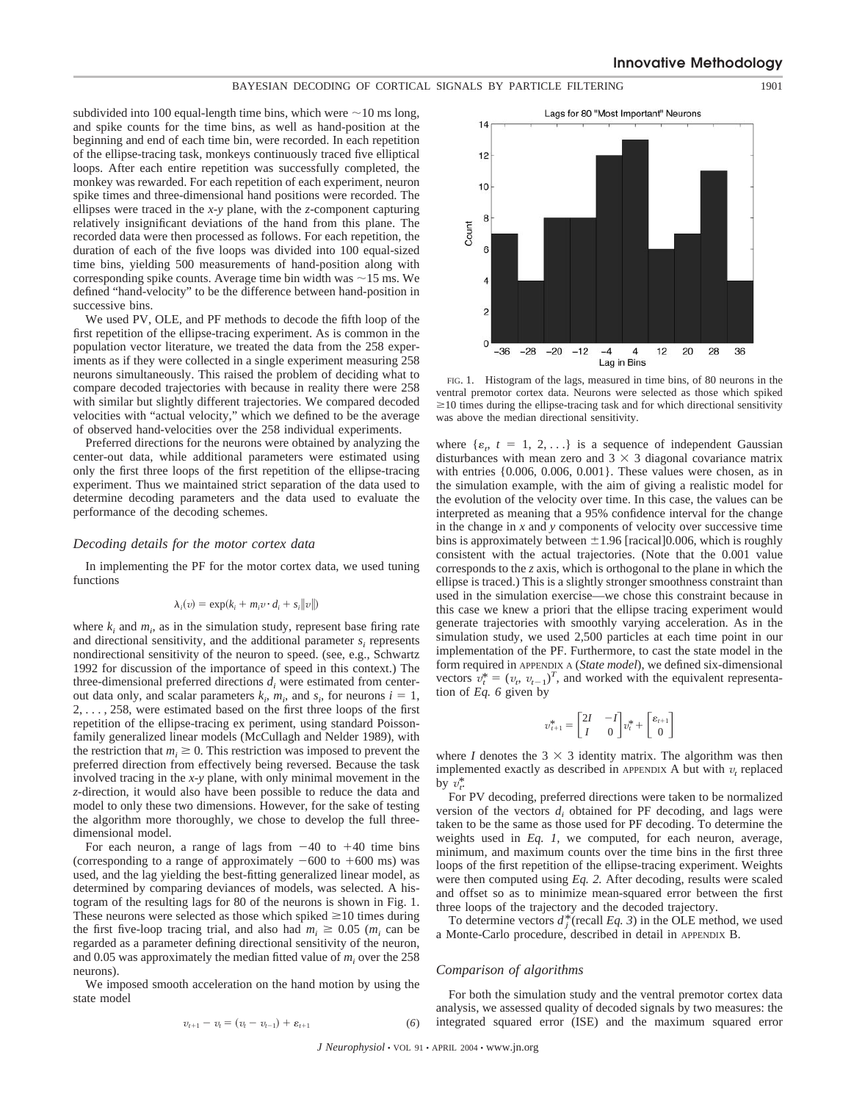# BAYESIAN DECODING OF CORTICAL SIGNALS BY PARTICLE FILTERING 1901

subdivided into 100 equal-length time bins, which were  $\sim$  10 ms long, and spike counts for the time bins, as well as hand-position at the beginning and end of each time bin, were recorded. In each repetition of the ellipse-tracing task, monkeys continuously traced five elliptical loops. After each entire repetition was successfully completed, the monkey was rewarded. For each repetition of each experiment, neuron spike times and three-dimensional hand positions were recorded. The ellipses were traced in the *x*-*y* plane, with the *z*-component capturing relatively insignificant deviations of the hand from this plane. The recorded data were then processed as follows. For each repetition, the duration of each of the five loops was divided into 100 equal-sized time bins, yielding 500 measurements of hand-position along with corresponding spike counts. Average time bin width was  $\sim$ 15 ms. We defined "hand-velocity" to be the difference between hand-position in successive bins.

We used PV, OLE, and PF methods to decode the fifth loop of the first repetition of the ellipse-tracing experiment. As is common in the population vector literature, we treated the data from the 258 experiments as if they were collected in a single experiment measuring 258 neurons simultaneously. This raised the problem of deciding what to compare decoded trajectories with because in reality there were 258 with similar but slightly different trajectories. We compared decoded velocities with "actual velocity," which we defined to be the average of observed hand-velocities over the 258 individual experiments.

Preferred directions for the neurons were obtained by analyzing the center-out data, while additional parameters were estimated using only the first three loops of the first repetition of the ellipse-tracing experiment. Thus we maintained strict separation of the data used to determine decoding parameters and the data used to evaluate the performance of the decoding schemes.

### *Decoding details for the motor cortex data*

In implementing the PF for the motor cortex data, we used tuning functions

$$
\lambda_i(v) = \exp(k_i + m_i v \cdot d_i + s_i ||v||)
$$

where  $k_i$  and  $m_i$ , as in the simulation study, represent base firing rate and directional sensitivity, and the additional parameter  $s_i$  represents nondirectional sensitivity of the neuron to speed. (see, e.g., Schwartz 1992 for discussion of the importance of speed in this context.) The three-dimensional preferred directions  $d_i$  were estimated from centerout data only, and scalar parameters  $k_i$ ,  $m_i$ , and  $s_i$ , for neurons  $i = 1$ , 2, . . . , 258, were estimated based on the first three loops of the first repetition of the ellipse-tracing ex periment, using standard Poissonfamily generalized linear models (McCullagh and Nelder 1989), with the restriction that  $m_i \geq 0$ . This restriction was imposed to prevent the preferred direction from effectively being reversed. Because the task involved tracing in the *x*-*y* plane, with only minimal movement in the *z*-direction, it would also have been possible to reduce the data and model to only these two dimensions. However, for the sake of testing the algorithm more thoroughly, we chose to develop the full threedimensional model.

For each neuron, a range of lags from  $-40$  to  $+40$  time bins (corresponding to a range of approximately  $-600$  to  $+600$  ms) was used, and the lag yielding the best-fitting generalized linear model, as determined by comparing deviances of models, was selected. A histogram of the resulting lags for 80 of the neurons is shown in Fig. 1. These neurons were selected as those which spiked  $\geq 10$  times during the first five-loop tracing trial, and also had  $m_i \geq 0.05$  ( $m_i$  can be regarded as a parameter defining directional sensitivity of the neuron, and  $0.05$  was approximately the median fitted value of  $m_i$  over the 258 neurons).

We imposed smooth acceleration on the hand motion by using the state model

$$
v_{t+1} - v_t = (v_t - v_{t-1}) + \varepsilon_{t+1}
$$
 (6)



FIG. 1. Histogram of the lags, measured in time bins, of 80 neurons in the ventral premotor cortex data. Neurons were selected as those which spiked  $\geq$ 10 times during the ellipse-tracing task and for which directional sensitivity was above the median directional sensitivity.

where  $\{ \varepsilon_r, t = 1, 2, \ldots \}$  is a sequence of independent Gaussian disturbances with mean zero and  $3 \times 3$  diagonal covariance matrix with entries {0.006, 0.006, 0.001}. These values were chosen, as in the simulation example, with the aim of giving a realistic model for the evolution of the velocity over time. In this case, the values can be interpreted as meaning that a 95% confidence interval for the change in the change in *x* and *y* components of velocity over successive time bins is approximately between  $\pm 1.96$  [racical]0.006, which is roughly consistent with the actual trajectories. (Note that the 0.001 value corresponds to the *z* axis, which is orthogonal to the plane in which the ellipse is traced.) This is a slightly stronger smoothness constraint than used in the simulation exercise—we chose this constraint because in this case we knew a priori that the ellipse tracing experiment would generate trajectories with smoothly varying acceleration. As in the simulation study, we used 2,500 particles at each time point in our implementation of the PF. Furthermore, to cast the state model in the form required in APPENDIX A (*State model*), we defined six-dimensional vectors  $v_t^* = (v_t, v_{t-1})^T$ , and worked with the equivalent representation of *Eq. 6* given by

$$
v_{t+1}^* = \begin{bmatrix} 2I & -I \\ I & 0 \end{bmatrix} v_t^* + \begin{bmatrix} \varepsilon_{t+1} \\ 0 \end{bmatrix}
$$

where *I* denotes the  $3 \times 3$  identity matrix. The algorithm was then implemented exactly as described in APPENDIX A but with  $v<sub>t</sub>$  replaced by  $v_t^*$ .

For PV decoding, preferred directions were taken to be normalized version of the vectors  $d_i$  obtained for PF decoding, and lags were taken to be the same as those used for PF decoding. To determine the weights used in *Eq. 1,* we computed, for each neuron, average, minimum, and maximum counts over the time bins in the first three loops of the first repetition of the ellipse-tracing experiment. Weights were then computed using *Eq. 2.* After decoding, results were scaled and offset so as to minimize mean-squared error between the first three loops of the trajectory and the decoded trajectory.

To determine vectors  $d_i^*$  (recall *Eq. 3*) in the OLE method, we used a Monte-Carlo procedure, described in detail in APPENDIX B.

#### *Comparison of algorithms*

For both the simulation study and the ventral premotor cortex data analysis, we assessed quality of decoded signals by two measures: the integrated squared error (ISE) and the maximum squared error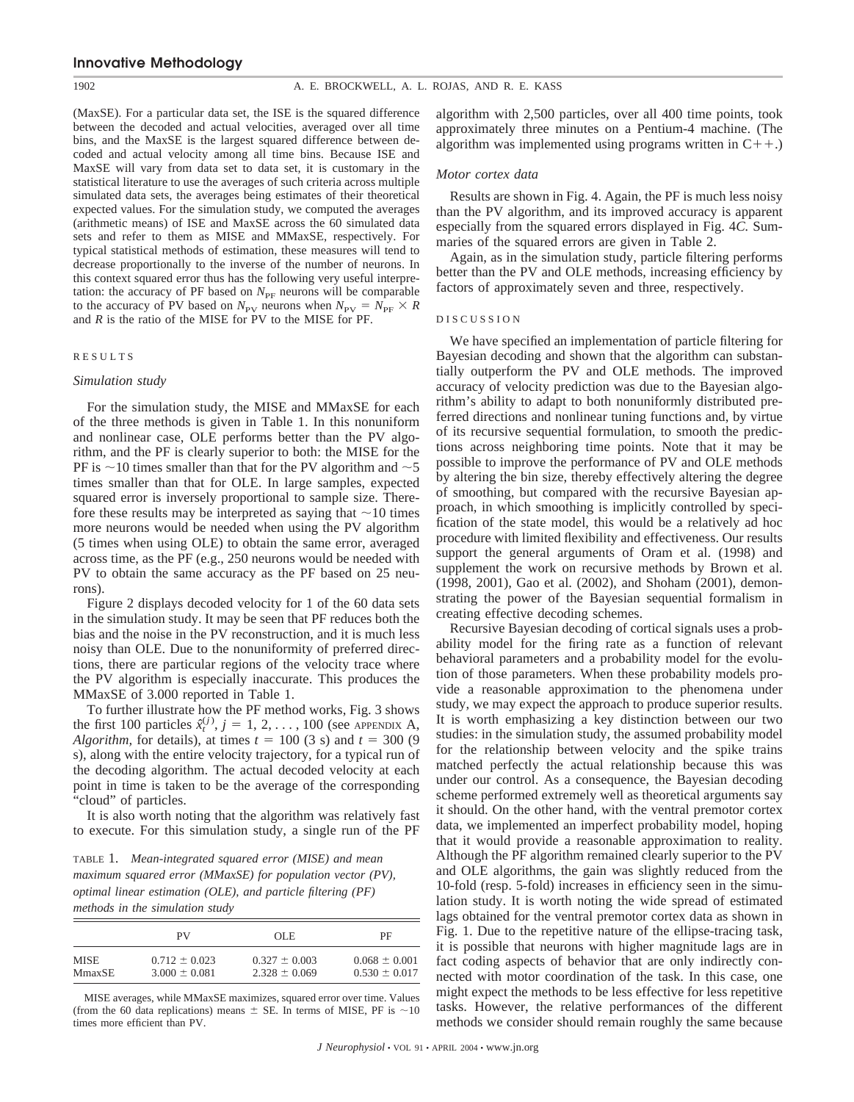(MaxSE). For a particular data set, the ISE is the squared difference between the decoded and actual velocities, averaged over all time bins, and the MaxSE is the largest squared difference between decoded and actual velocity among all time bins. Because ISE and MaxSE will vary from data set to data set, it is customary in the statistical literature to use the averages of such criteria across multiple simulated data sets, the averages being estimates of their theoretical expected values. For the simulation study, we computed the averages (arithmetic means) of ISE and MaxSE across the 60 simulated data sets and refer to them as MISE and MMaxSE, respectively. For typical statistical methods of estimation, these measures will tend to decrease proportionally to the inverse of the number of neurons. In this context squared error thus has the following very useful interpretation: the accuracy of PF based on  $N_{\text{PF}}$  neurons will be comparable to the accuracy of PV based on  $N_{\text{PV}}$  neurons when  $N_{\text{PV}} = N_{\text{PF}} \times R$ and *R* is the ratio of the MISE for PV to the MISE for PF.

# RESULTS

#### *Simulation study*

For the simulation study, the MISE and MMaxSE for each of the three methods is given in Table 1. In this nonuniform and nonlinear case, OLE performs better than the PV algorithm, and the PF is clearly superior to both: the MISE for the PF is  $\sim$  10 times smaller than that for the PV algorithm and  $\sim$  5 times smaller than that for OLE. In large samples, expected squared error is inversely proportional to sample size. Therefore these results may be interpreted as saying that  $\sim$ 10 times more neurons would be needed when using the PV algorithm (5 times when using OLE) to obtain the same error, averaged across time, as the PF (e.g., 250 neurons would be needed with PV to obtain the same accuracy as the PF based on 25 neurons).

Figure 2 displays decoded velocity for 1 of the 60 data sets in the simulation study. It may be seen that PF reduces both the bias and the noise in the PV reconstruction, and it is much less noisy than OLE. Due to the nonuniformity of preferred directions, there are particular regions of the velocity trace where the PV algorithm is especially inaccurate. This produces the MMaxSE of 3.000 reported in Table 1.

To further illustrate how the PF method works, Fig. 3 shows the first 100 particles  $\hat{x}_t^{(j)}$ ,  $j = 1, 2, ..., 100$  (see APPENDIX A, *Algorithm,* for details), at times  $t = 100$  (3 s) and  $t = 300$  (9 s), along with the entire velocity trajectory, for a typical run of the decoding algorithm. The actual decoded velocity at each point in time is taken to be the average of the corresponding "cloud" of particles.

It is also worth noting that the algorithm was relatively fast to execute. For this simulation study, a single run of the PF

TABLE 1. *Mean-integrated squared error (MISE) and mean maximum squared error (MMaxSE) for population vector (PV), optimal linear estimation (OLE), and particle filtering (PF) methods in the simulation study*

|             | PV                | OLE.              | PF                |
|-------------|-------------------|-------------------|-------------------|
| <b>MISE</b> | $0.712 \pm 0.023$ | $0.327 \pm 0.003$ | $0.068 \pm 0.001$ |
| MmaxSE      | $3.000 \pm 0.081$ | $2.328 \pm 0.069$ | $0.530 \pm 0.017$ |

MISE averages, while MMaxSE maximizes, squared error over time. Values (from the 60 data replications) means  $\pm$  SE. In terms of MISE, PF is  $\sim$ 10 times more efficient than PV.

algorithm with 2,500 particles, over all 400 time points, took approximately three minutes on a Pentium-4 machine. (The algorithm was implemented using programs written in  $C++$ .)

#### *Motor cortex data*

Results are shown in Fig. 4. Again, the PF is much less noisy than the PV algorithm, and its improved accuracy is apparent especially from the squared errors displayed in Fig. 4*C.* Summaries of the squared errors are given in Table 2.

Again, as in the simulation study, particle filtering performs better than the PV and OLE methods, increasing efficiency by factors of approximately seven and three, respectively.

#### DISCUSSION

We have specified an implementation of particle filtering for Bayesian decoding and shown that the algorithm can substantially outperform the PV and OLE methods. The improved accuracy of velocity prediction was due to the Bayesian algorithm's ability to adapt to both nonuniformly distributed preferred directions and nonlinear tuning functions and, by virtue of its recursive sequential formulation, to smooth the predictions across neighboring time points. Note that it may be possible to improve the performance of PV and OLE methods by altering the bin size, thereby effectively altering the degree of smoothing, but compared with the recursive Bayesian approach, in which smoothing is implicitly controlled by specification of the state model, this would be a relatively ad hoc procedure with limited flexibility and effectiveness. Our results support the general arguments of Oram et al. (1998) and supplement the work on recursive methods by Brown et al. (1998, 2001), Gao et al. (2002), and Shoham (2001), demonstrating the power of the Bayesian sequential formalism in creating effective decoding schemes.

Recursive Bayesian decoding of cortical signals uses a probability model for the firing rate as a function of relevant behavioral parameters and a probability model for the evolution of those parameters. When these probability models provide a reasonable approximation to the phenomena under study, we may expect the approach to produce superior results. It is worth emphasizing a key distinction between our two studies: in the simulation study, the assumed probability model for the relationship between velocity and the spike trains matched perfectly the actual relationship because this was under our control. As a consequence, the Bayesian decoding scheme performed extremely well as theoretical arguments say it should. On the other hand, with the ventral premotor cortex data, we implemented an imperfect probability model, hoping that it would provide a reasonable approximation to reality. Although the PF algorithm remained clearly superior to the PV and OLE algorithms, the gain was slightly reduced from the 10-fold (resp. 5-fold) increases in efficiency seen in the simulation study. It is worth noting the wide spread of estimated lags obtained for the ventral premotor cortex data as shown in Fig. 1. Due to the repetitive nature of the ellipse-tracing task, it is possible that neurons with higher magnitude lags are in fact coding aspects of behavior that are only indirectly connected with motor coordination of the task. In this case, one might expect the methods to be less effective for less repetitive tasks. However, the relative performances of the different methods we consider should remain roughly the same because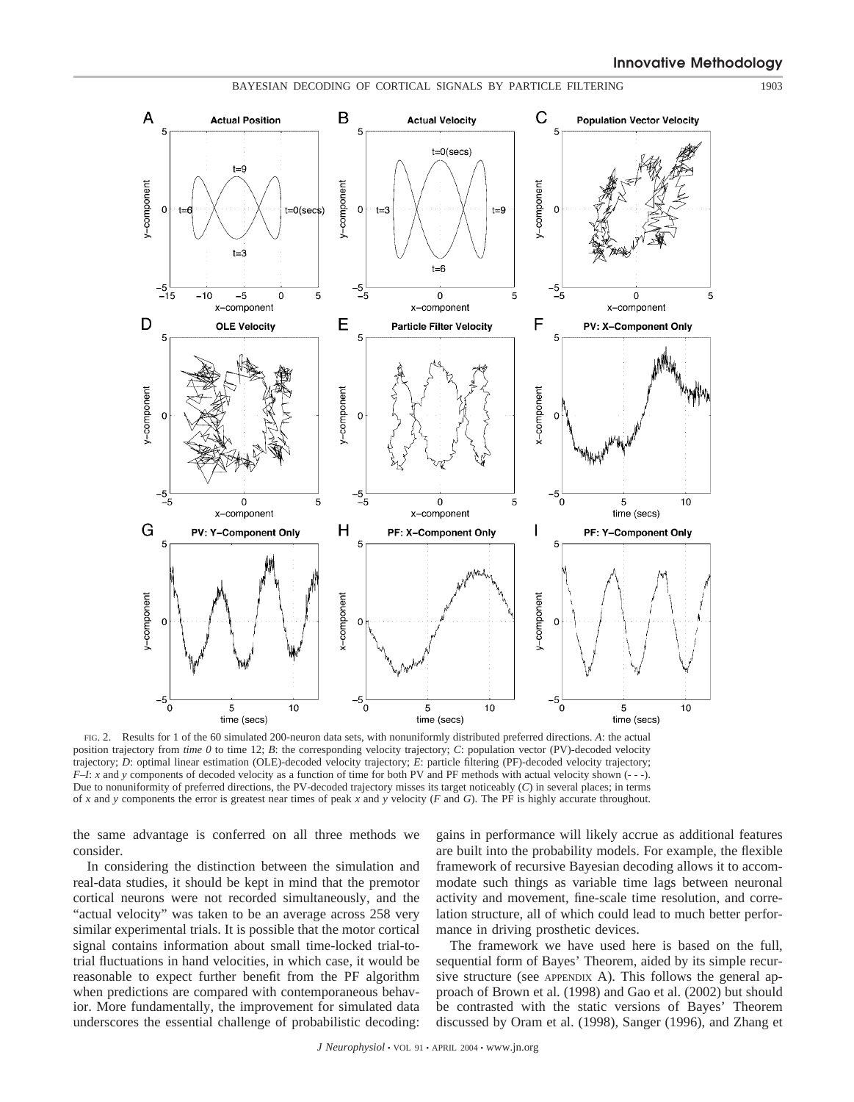

FIG. 2. Results for 1 of the 60 simulated 200-neuron data sets, with nonuniformly distributed preferred directions. *A*: the actual position trajectory from *time 0* to time 12; *B*: the corresponding velocity trajectory; *C*: population vector (PV)-decoded velocity trajectory; *D*: optimal linear estimation (OLE)-decoded velocity trajectory; *E*: particle filtering (PF)-decoded velocity trajectory; *F–I*: *x* and *y* components of decoded velocity as a function of time for both PV and PF methods with actual velocity shown (- - -). Due to nonuniformity of preferred directions, the PV-decoded trajectory misses its target noticeably (*C*) in several places; in terms of *x* and *y* components the error is greatest near times of peak *x* and *y* velocity (*F* and *G*). The PF is highly accurate throughout.

the same advantage is conferred on all three methods we consider.

In considering the distinction between the simulation and real-data studies, it should be kept in mind that the premotor cortical neurons were not recorded simultaneously, and the "actual velocity" was taken to be an average across 258 very similar experimental trials. It is possible that the motor cortical signal contains information about small time-locked trial-totrial fluctuations in hand velocities, in which case, it would be reasonable to expect further benefit from the PF algorithm when predictions are compared with contemporaneous behavior. More fundamentally, the improvement for simulated data underscores the essential challenge of probabilistic decoding:

gains in performance will likely accrue as additional features are built into the probability models. For example, the flexible framework of recursive Bayesian decoding allows it to accommodate such things as variable time lags between neuronal activity and movement, fine-scale time resolution, and correlation structure, all of which could lead to much better performance in driving prosthetic devices.

The framework we have used here is based on the full, sequential form of Bayes' Theorem, aided by its simple recursive structure (see APPENDIX A). This follows the general approach of Brown et al. (1998) and Gao et al. (2002) but should be contrasted with the static versions of Bayes' Theorem discussed by Oram et al. (1998), Sanger (1996), and Zhang et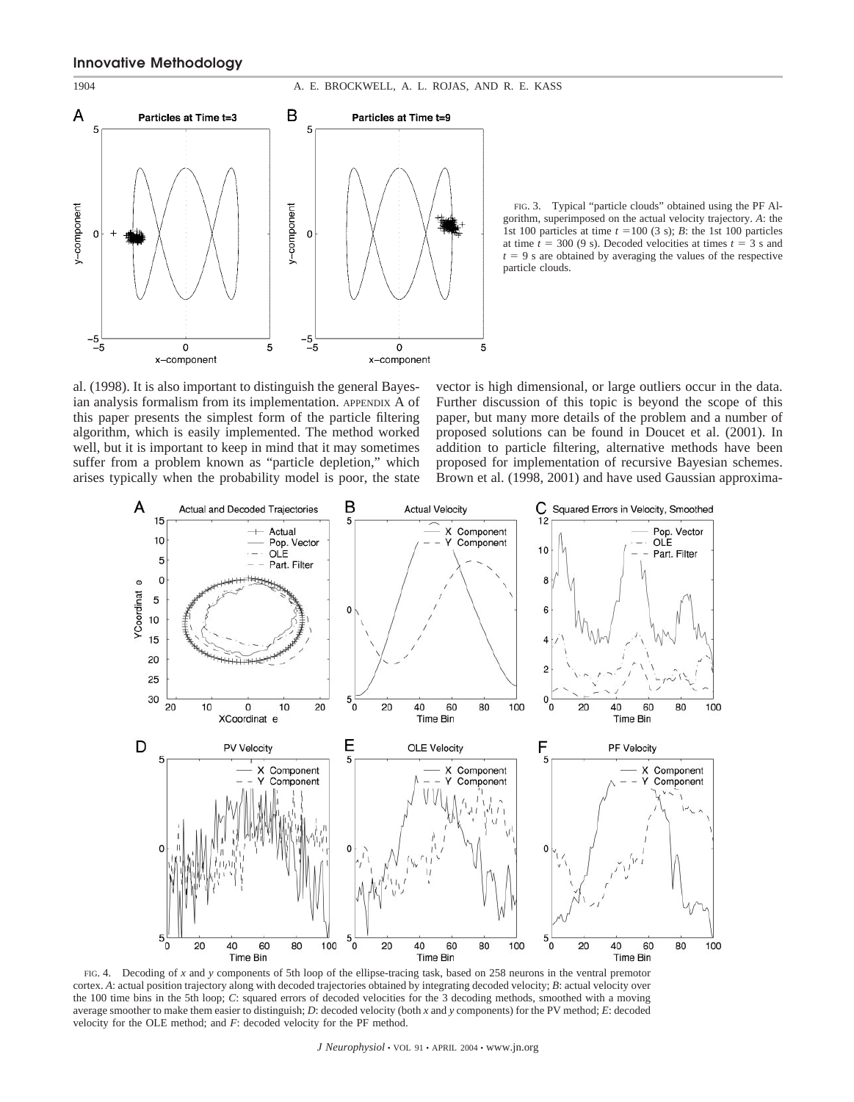

FIG. 3. Typical "particle clouds" obtained using the PF Algorithm, superimposed on the actual velocity trajectory. *A*: the 1st 100 particles at time  $t = 100$  (3 s); *B*: the 1st 100 particles at time  $t = 300 (9 s)$ . Decoded velocities at times  $t = 3 s$  and  $t = 9$  s are obtained by averaging the values of the respective particle clouds.

al. (1998). It is also important to distinguish the general Bayesian analysis formalism from its implementation. APPENDIX A of this paper presents the simplest form of the particle filtering algorithm, which is easily implemented. The method worked well, but it is important to keep in mind that it may sometimes suffer from a problem known as "particle depletion," which arises typically when the probability model is poor, the state

vector is high dimensional, or large outliers occur in the data. Further discussion of this topic is beyond the scope of this paper, but many more details of the problem and a number of proposed solutions can be found in Doucet et al. (2001). In addition to particle filtering, alternative methods have been proposed for implementation of recursive Bayesian schemes. Brown et al. (1998, 2001) and have used Gaussian approxima-



FIG. 4. Decoding of *x* and *y* components of 5th loop of the ellipse-tracing task, based on 258 neurons in the ventral premotor cortex. *A*: actual position trajectory along with decoded trajectories obtained by integrating decoded velocity; *B*: actual velocity over the 100 time bins in the 5th loop; *C*: squared errors of decoded velocities for the 3 decoding methods, smoothed with a moving average smoother to make them easier to distinguish; *D*: decoded velocity (both *x* and *y* components) for the PV method; *E*: decoded velocity for the OLE method; and *F*: decoded velocity for the PF method.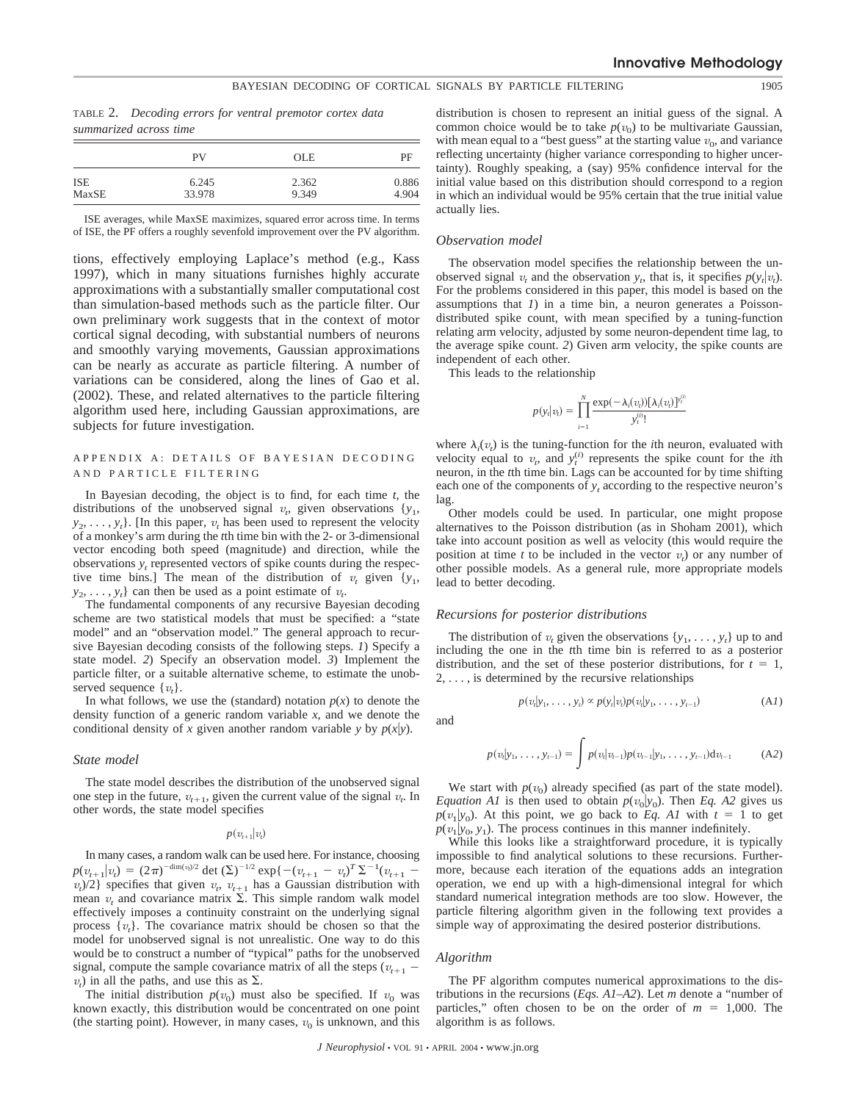#### BAYESIAN DECODING OF CORTICAL SIGNALS BY PARTICLE FILTERING 1905

TABLE 2. *Decoding errors for ventral premotor cortex data summarized across time*

|       | PV     | <b>OLE</b> | PF    |
|-------|--------|------------|-------|
| ISE   | 6.245  | 2.362      | 0.886 |
| MaxSE | 33.978 | 9.349      | 4.904 |

ISE averages, while MaxSE maximizes, squared error across time. In terms of ISE, the PF offers a roughly sevenfold improvement over the PV algorithm.

tions, effectively employing Laplace's method (e.g., Kass 1997), which in many situations furnishes highly accurate approximations with a substantially smaller computational cost than simulation-based methods such as the particle filter. Our own preliminary work suggests that in the context of motor cortical signal decoding, with substantial numbers of neurons and smoothly varying movements, Gaussian approximations can be nearly as accurate as particle filtering. A number of variations can be considered, along the lines of Gao et al. (2002). These, and related alternatives to the particle filtering algorithm used here, including Gaussian approximations, are subjects for future investigation.

# APPENDIX A: DETAILS OF BAYESIAN DECODING AND PARTICLE FILTERING

In Bayesian decoding, the object is to find, for each time *t*, the distributions of the unobserved signal  $v_t$ , given observations  $\{y_1,$  $y_2, \ldots, y_t$ . [In this paper,  $v_t$  has been used to represent the velocity of a monkey's arm during the *t*th time bin with the 2- or 3-dimensional vector encoding both speed (magnitude) and direction, while the observations *yt* represented vectors of spike counts during the respective time bins.] The mean of the distribution of  $v_t$  given  $\{y_1,$  $y_2, \ldots, y_t$  can then be used as a point estimate of  $v_t$ .

The fundamental components of any recursive Bayesian decoding scheme are two statistical models that must be specified: a "state model" and an "observation model." The general approach to recursive Bayesian decoding consists of the following steps. *1*) Specify a state model. *2*) Specify an observation model. *3*) Implement the particle filter, or a suitable alternative scheme, to estimate the unobserved sequence  $\{v_t\}$ .

In what follows, we use the (standard) notation  $p(x)$  to denote the density function of a generic random variable *x*, and we denote the conditional density of *x* given another random variable *y* by  $p(x|y)$ .

#### *State model*

The state model describes the distribution of the unobserved signal one step in the future,  $v_{t+1}$ , given the current value of the signal  $v_t$ . In other words, the state model specifies

#### $p(v_{t+1}|v_t)$

In many cases, a random walk can be used here. For instance, choosing  $p(v_{t+1}|v_t) = (2\pi)^{-\dim(v_t)/2} \det(\Sigma)^{-1/2} \exp\{-(v_{t+1} - v_t)^T \Sigma^{-1} (v_{t+1} - v_t)^T \Sigma^{-1} (v_t)^T \}$  $v_t$ )/2} specifies that given  $v_t$ ,  $v_{t+1}$  has a Gaussian distribution with mean  $v_t$  and covariance matrix  $\Sigma$ . This simple random walk model effectively imposes a continuity constraint on the underlying signal process  $\{v_t\}$ . The covariance matrix should be chosen so that the model for unobserved signal is not unrealistic. One way to do this would be to construct a number of "typical" paths for the unobserved signal, compute the sample covariance matrix of all the steps ( $v_{t+1}$  –  $v_t$ ) in all the paths, and use this as  $\Sigma$ .

The initial distribution  $p(v_0)$  must also be specified. If  $v_0$  was known exactly, this distribution would be concentrated on one point (the starting point). However, in many cases,  $v_0$  is unknown, and this distribution is chosen to represent an initial guess of the signal. A common choice would be to take  $p(v_0)$  to be multivariate Gaussian, with mean equal to a "best guess" at the starting value  $v_0$ , and variance reflecting uncertainty (higher variance corresponding to higher uncertainty). Roughly speaking, a (say) 95% confidence interval for the initial value based on this distribution should correspond to a region in which an individual would be 95% certain that the true initial value actually lies.

#### *Observation model*

The observation model specifies the relationship between the unobserved signal  $v_t$  and the observation  $y_t$ , that is, it specifies  $p(y_t|v_t)$ . For the problems considered in this paper, this model is based on the assumptions that *1*) in a time bin, a neuron generates a Poissondistributed spike count, with mean specified by a tuning-function relating arm velocity, adjusted by some neuron-dependent time lag, to the average spike count. *2*) Given arm velocity, the spike counts are independent of each other.

This leads to the relationship

$$
p(y_i|v_i) = \prod_{i=1}^{N} \frac{\exp(-\lambda_i(v_i))[\lambda_i(v_i)]^{y_i^{(i)}}}{y_i^{(i)}}
$$

where  $\lambda_i(v_t)$  is the tuning-function for the *i*th neuron, evaluated with velocity equal to  $v_t$ , and  $y_t^{(i)}$  represents the spike count for the *i*th neuron, in the *t*th time bin. Lags can be accounted for by time shifting each one of the components of  $y_t$  according to the respective neuron's lag.

Other models could be used. In particular, one might propose alternatives to the Poisson distribution (as in Shoham 2001), which take into account position as well as velocity (this would require the position at time *t* to be included in the vector  $v_t$ ) or any number of other possible models. As a general rule, more appropriate models lead to better decoding.

#### *Recursions for posterior distributions*

The distribution of  $v_t$  given the observations  $\{y_1, \ldots, y_t\}$  up to and including the one in the *t*th time bin is referred to as a posterior distribution, and the set of these posterior distributions, for  $t = 1$ ,  $2, \ldots$ , is determined by the recursive relationships

$$
p(v_t|y_1, \ldots, y_t) \propto p(y_t|v_t)p(v_t|y_1, \ldots, y_{t-1})
$$
 (A1)

and

$$
p(v_t|y_1,\ldots,y_{t-1})=\int p(v_t|v_{t-1})p(v_{t-1}|y_1,\ldots,y_{t-1})\mathrm{d}v_{t-1} \qquad\text{(A2)}
$$

We start with  $p(v_0)$  already specified (as part of the state model). *Equation A1* is then used to obtain  $p(v_0|y_0)$ . Then *Eq. A2* gives us  $p(v_1|y_0)$ . At this point, we go back to *Eq. A1* with  $t = 1$  to get  $p(v_1|y_0, y_1)$ . The process continues in this manner indefinitely.

While this looks like a straightforward procedure, it is typically impossible to find analytical solutions to these recursions. Furthermore, because each iteration of the equations adds an integration operation, we end up with a high-dimensional integral for which standard numerical integration methods are too slow. However, the particle filtering algorithm given in the following text provides a simple way of approximating the desired posterior distributions.

#### *Algorithm*

The PF algorithm computes numerical approximations to the distributions in the recursions (*Eqs. A1–A2*). Let *m* denote a "number of particles," often chosen to be on the order of  $m = 1,000$ . The algorithm is as follows.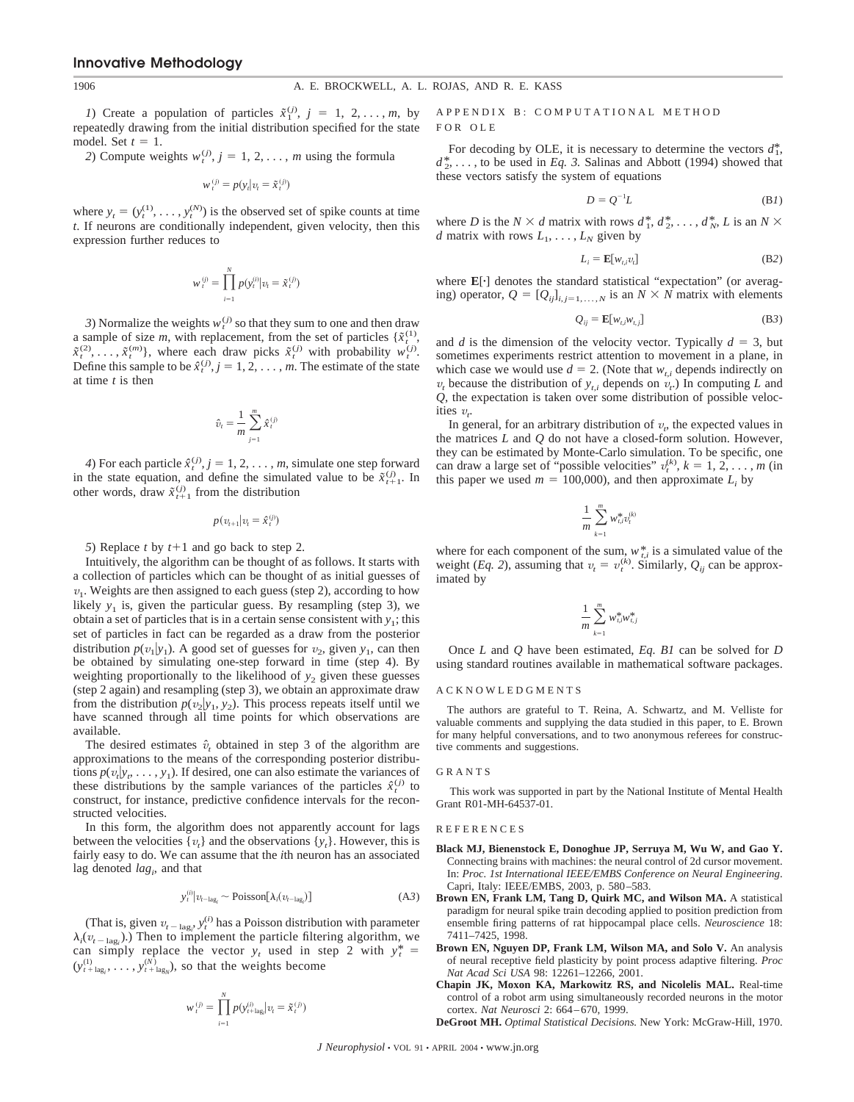*1*) Create a population of particles  $\tilde{x}_1^{(j)}$ ,  $j = 1, 2, ..., m$ , by repeatedly drawing from the initial distribution specified for the state model. Set  $t = 1$ .

2) Compute weights  $w_t^{(j)}$ ,  $j = 1, 2, \ldots, m$  using the formula

$$
w_t^{(j)} = p(y_t | v_t = \tilde{x}_t^{(j)})
$$

where  $y_t = (y_t^{(1)}, \ldots, y_t^{(N)})$  is the observed set of spike counts at time *t*. If neurons are conditionally independent, given velocity, then this expression further reduces to

$$
w_t^{(j)} = \prod_{i=1}^N p(y_t^{(i)} | v_t = \tilde{x}_t^{(j)})
$$

*3*) Normalize the weights  $w_t^{(j)}$  so that they sum to one and then draw a sample of size *m*, with replacement, from the set of particles  $\{x_t^{(1)},$  $\tilde{x}^{(2)}_t, \ldots, \tilde{x}^{(m)}_t$ , where each draw picks  $\tilde{x}^{(j)}_t$  with probability  $w^{(j)}_t$ . Define this sample to be  $\hat{x}^{(j)}_t, j = 1, 2, \ldots, m$ . The estimate of the state at time *t* is then

$$
\hat{v}_t = \frac{1}{m} \sum_{j=1}^m \hat{x}_t^{(j)}
$$

*4*) For each particle  $\hat{x}_t^{(j)}$ ,  $j = 1, 2, ..., m$ , simulate one step forward in the state equation, and define the simulated value to be  $\tilde{x}_{t+1}^{(j)}$ . In other words, draw  $\tilde{x}_{t+1}^{(j)}$  from the distribution

$$
p(v_{t+1}|v_t = \hat{x}_t^{(j)})
$$

*5*) Replace *t* by  $t+1$  and go back to step 2.

Intuitively, the algorithm can be thought of as follows. It starts with a collection of particles which can be thought of as initial guesses of  $v_1$ . Weights are then assigned to each guess (step 2), according to how likely  $y_1$  is, given the particular guess. By resampling (step 3), we obtain a set of particles that is in a certain sense consistent with  $y_1$ ; this set of particles in fact can be regarded as a draw from the posterior distribution  $p(v_1|y_1)$ . A good set of guesses for  $v_2$ , given  $y_1$ , can then be obtained by simulating one-step forward in time (step 4). By weighting proportionally to the likelihood of  $y_2$  given these guesses (step 2 again) and resampling (step 3), we obtain an approximate draw from the distribution  $p(v_2|y_1, y_2)$ . This process repeats itself until we have scanned through all time points for which observations are available.

The desired estimates  $\hat{v}_t$  obtained in step 3 of the algorithm are approximations to the means of the corresponding posterior distributions  $p(v_t|y_t, \ldots, y_1)$ . If desired, one can also estimate the variances of these distributions by the sample variances of the particles  $\hat{x}^{(j)}_t$  to construct, for instance, predictive confidence intervals for the reconstructed velocities.

In this form, the algorithm does not apparently account for lags between the velocities  $\{v_t\}$  and the observations  $\{y_t\}$ . However, this is fairly easy to do. We can assume that the *i*th neuron has an associated lag denoted *lag<sub>i</sub>*, and that

$$
y_t^{(i)} | v_{t-\text{lag}_i} \sim \text{Poisson}[\lambda_i(v_{t-\text{lag}_i})]
$$
 (A3)

(That is, given  $v_{t-\text{lag}_i}$ ,  $y_t^{(i)}$  has a Poisson distribution with parameter  $\lambda_i(v_{t-\text{lag}_i})$ .) Then to implement the particle filtering algorithm, we can simply replace the vector  $y_t$  used in step 2 with  $y_t^* =$  $(y_{t+lag_i}^{(1)}, \ldots, y_{t+lag_N}^{(N)})$ , so that the weights become

$$
w_t^{(j)} = \prod_{i=1}^N p(y_{t+\text{lag}_i}^{(i)} | v_t = \tilde{x}_t^{(j)})
$$

# APPENDIX B: COMPUTATIONAL METHOD FOR OLE

For decoding by OLE, it is necessary to determine the vectors  $d_1^*$ ,  $d_2^*$ , ..., to be used in *Eq. 3*. Salinas and Abbott (1994) showed that these vectors satisfy the system of equations

$$
D = Q^{-1}L \tag{B1}
$$

where *D* is the *N*  $\times$  *d* matrix with rows  $d_1^*, d_2^*, \ldots, d_N^*$ , *L* is an *N*  $\times$ *d* matrix with rows  $L_1, \ldots, L_N$  given by

$$
L_i = \mathbf{E}[w_{t,i}v_t]
$$
 (B2)

where  $\mathbf{E}[\cdot]$  denotes the standard statistical "expectation" (or averaging) operator,  $Q = [Q_{ij}]_{i,j=1,\ldots,N}$  is an  $N \times N$  matrix with elements

$$
Q_{ij} = \mathbf{E}[w_{t,i}w_{t,j}] \tag{B3}
$$

and *d* is the dimension of the velocity vector. Typically  $d = 3$ , but sometimes experiments restrict attention to movement in a plane, in which case we would use  $d = 2$ . (Note that  $w_{t,i}$  depends indirectly on  $v_t$  because the distribution of  $y_{t,i}$  depends on  $v_t$ .) In computing *L* and *Q*, the expectation is taken over some distribution of possible velocities  $v_t$ .

In general, for an arbitrary distribution of  $v_t$ , the expected values in the matrices *L* and *Q* do not have a closed-form solution. However, they can be estimated by Monte-Carlo simulation. To be specific, one can draw a large set of "possible velocities"  $v_t^{(k)}$ ,  $k = 1, 2, ..., m$  (in this paper we used  $m = 100,000$ , and then approximate  $L_i$  by

$$
\frac{1}{m}\sum_{k=1}^m w_{t,i}^* v_t^{(k)}
$$

where for each component of the sum,  $w_{ti}^*$  is a simulated value of the weight (*Eq. 2*), assuming that  $v_t = v_t^{(k)}$ . Similarly,  $Q_{ij}$  can be approximated by

$$
\frac{1}{m}\sum_{k=1}^m w_{t,i}^*w_{t,j}^*
$$

Once *L* and *Q* have been estimated, *Eq. B1* can be solved for *D* using standard routines available in mathematical software packages.

#### ACKNOWLEDGMENTS

The authors are grateful to T. Reina, A. Schwartz, and M. Velliste for valuable comments and supplying the data studied in this paper, to E. Brown for many helpful conversations, and to two anonymous referees for constructive comments and suggestions.

#### GRANTS

This work was supported in part by the National Institute of Mental Health Grant R01-MH-64537-01.

#### REFERENCES

- **Black MJ, Bienenstock E, Donoghue JP, Serruya M, Wu W, and Gao Y.** Connecting brains with machines: the neural control of 2d cursor movement. In: *Proc. 1st International IEEE/EMBS Conference on Neural Engineering*. Capri, Italy: IEEE/EMBS, 2003, p. 580–583.
- **Brown EN, Frank LM, Tang D, Quirk MC, and Wilson MA.** A statistical paradigm for neural spike train decoding applied to position prediction from ensemble firing patterns of rat hippocampal place cells. *Neuroscience* 18: 7411–7425, 1998.
- **Brown EN, Nguyen DP, Frank LM, Wilson MA, and Solo V.** An analysis of neural receptive field plasticity by point process adaptive filtering. *Proc Nat Acad Sci USA* 98: 12261–12266, 2001.
- **Chapin JK, Moxon KA, Markowitz RS, and Nicolelis MAL.** Real-time control of a robot arm using simultaneously recorded neurons in the motor cortex. *Nat Neurosci* 2: 664–670, 1999.
- **DeGroot MH.** *Optimal Statistical Decisions.* New York: McGraw-Hill, 1970.